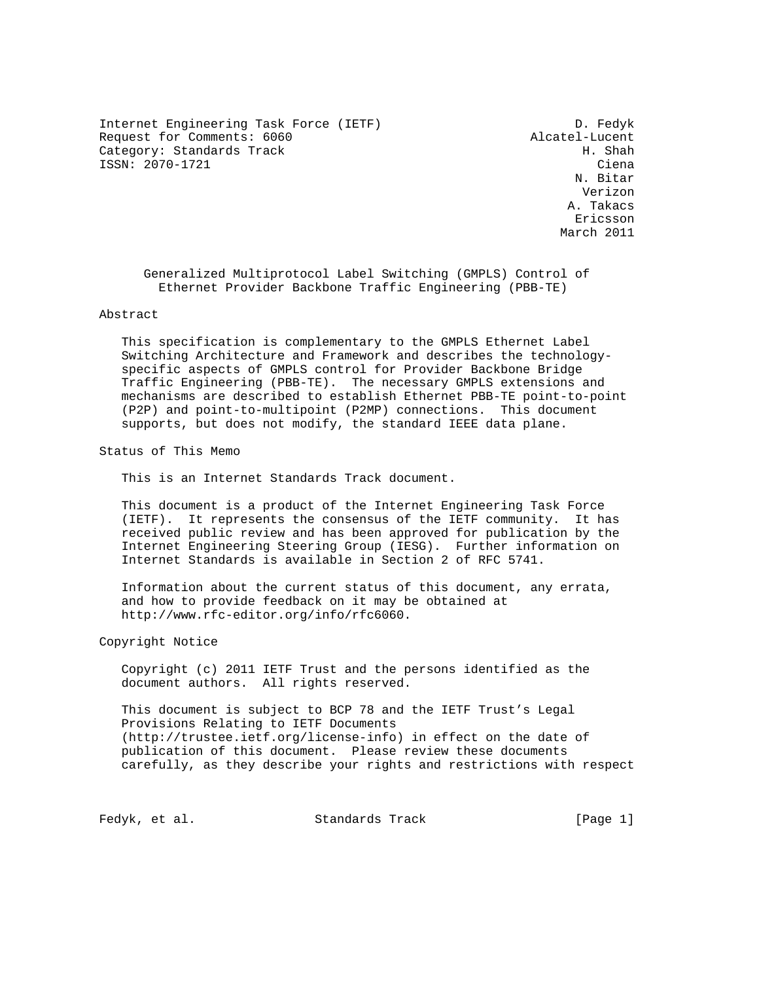Internet Engineering Task Force (IETF) D. Fedyk Request for Comments: 6060 Alcatel-Lucent<br>Category: Standards Track Business Alcatel H. Shah Category: Standards Track ISSN: 2070-1721 Ciena

 N. Bitar Verizon A. Takacs eric and the contract of the contract of the contract of the contract of the contract of the contract of the contract of the contract of the contract of the contract of the contract of the contract of the contract of the c March 2011

 Generalized Multiprotocol Label Switching (GMPLS) Control of Ethernet Provider Backbone Traffic Engineering (PBB-TE)

## Abstract

 This specification is complementary to the GMPLS Ethernet Label Switching Architecture and Framework and describes the technology specific aspects of GMPLS control for Provider Backbone Bridge Traffic Engineering (PBB-TE). The necessary GMPLS extensions and mechanisms are described to establish Ethernet PBB-TE point-to-point (P2P) and point-to-multipoint (P2MP) connections. This document supports, but does not modify, the standard IEEE data plane.

Status of This Memo

This is an Internet Standards Track document.

 This document is a product of the Internet Engineering Task Force (IETF). It represents the consensus of the IETF community. It has received public review and has been approved for publication by the Internet Engineering Steering Group (IESG). Further information on Internet Standards is available in Section 2 of RFC 5741.

 Information about the current status of this document, any errata, and how to provide feedback on it may be obtained at http://www.rfc-editor.org/info/rfc6060.

Copyright Notice

 Copyright (c) 2011 IETF Trust and the persons identified as the document authors. All rights reserved.

 This document is subject to BCP 78 and the IETF Trust's Legal Provisions Relating to IETF Documents (http://trustee.ietf.org/license-info) in effect on the date of publication of this document. Please review these documents carefully, as they describe your rights and restrictions with respect

Fedyk, et al. Standards Track [Page 1]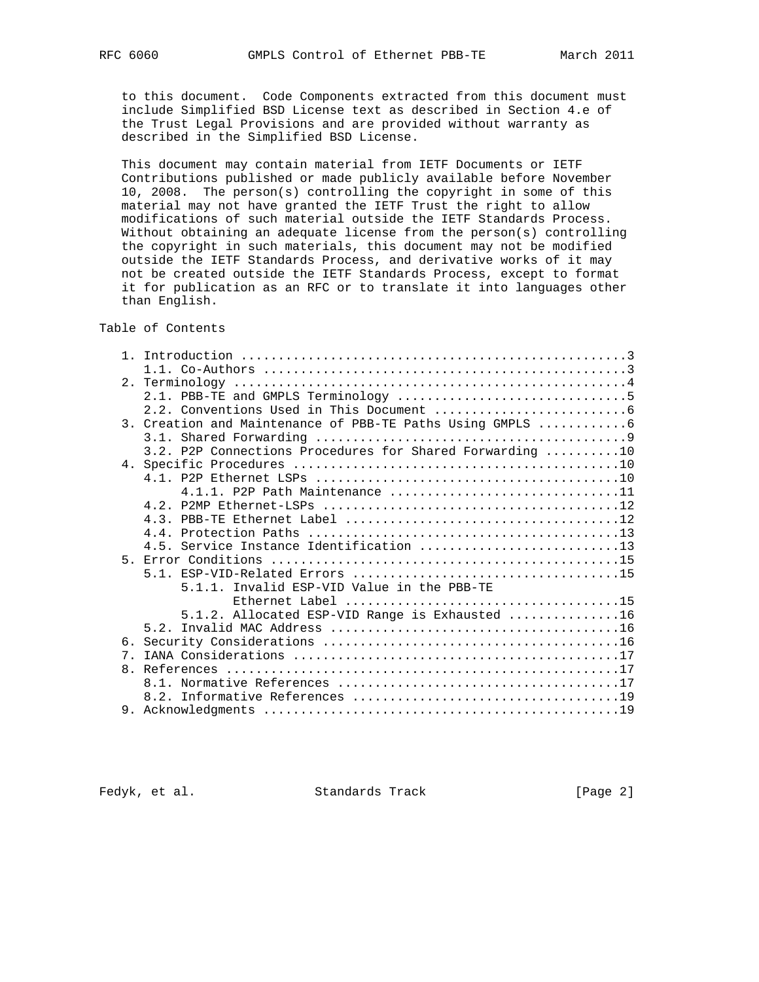to this document. Code Components extracted from this document must include Simplified BSD License text as described in Section 4.e of the Trust Legal Provisions and are provided without warranty as described in the Simplified BSD License.

 This document may contain material from IETF Documents or IETF Contributions published or made publicly available before November 10, 2008. The person(s) controlling the copyright in some of this material may not have granted the IETF Trust the right to allow modifications of such material outside the IETF Standards Process. Without obtaining an adequate license from the person(s) controlling the copyright in such materials, this document may not be modified outside the IETF Standards Process, and derivative works of it may not be created outside the IETF Standards Process, except to format it for publication as an RFC or to translate it into languages other than English.

Table of Contents

|                | 3. Creation and Maintenance of PBB-TE Paths Using GMPLS 6 |
|----------------|-----------------------------------------------------------|
|                |                                                           |
|                | 3.2. P2P Connections Procedures for Shared Forwarding 10  |
|                |                                                           |
|                |                                                           |
|                | 4.1.1. P2P Path Maintenance 11                            |
|                |                                                           |
|                |                                                           |
|                |                                                           |
|                | 4.5. Service Instance Identification 13                   |
|                |                                                           |
|                |                                                           |
|                | 5.1.1. Invalid ESP-VID Value in the PBB-TE                |
|                |                                                           |
|                | 5.1.2. Allocated ESP-VID Range is Exhausted 16            |
|                |                                                           |
|                |                                                           |
| 7 <sub>1</sub> |                                                           |
|                |                                                           |
|                |                                                           |
|                |                                                           |
|                |                                                           |

Fedyk, et al. Standards Track [Page 2]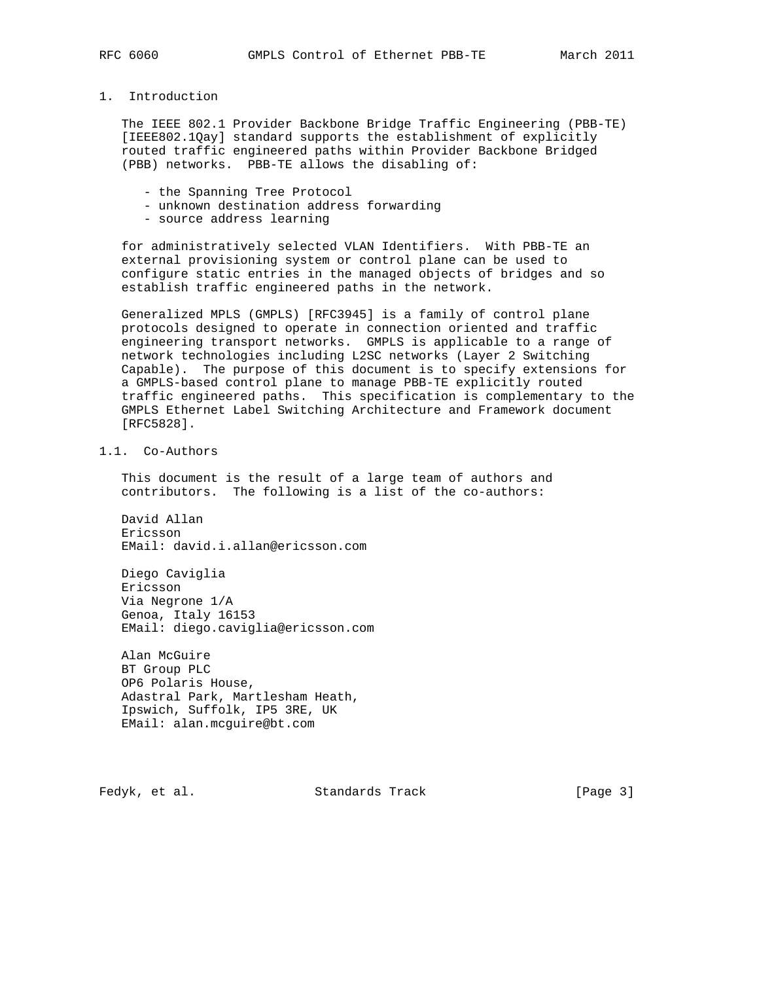# 1. Introduction

 The IEEE 802.1 Provider Backbone Bridge Traffic Engineering (PBB-TE) [IEEE802.1Qay] standard supports the establishment of explicitly routed traffic engineered paths within Provider Backbone Bridged (PBB) networks. PBB-TE allows the disabling of:

- the Spanning Tree Protocol
- unknown destination address forwarding
- source address learning

 for administratively selected VLAN Identifiers. With PBB-TE an external provisioning system or control plane can be used to configure static entries in the managed objects of bridges and so establish traffic engineered paths in the network.

 Generalized MPLS (GMPLS) [RFC3945] is a family of control plane protocols designed to operate in connection oriented and traffic engineering transport networks. GMPLS is applicable to a range of network technologies including L2SC networks (Layer 2 Switching Capable). The purpose of this document is to specify extensions for a GMPLS-based control plane to manage PBB-TE explicitly routed traffic engineered paths. This specification is complementary to the GMPLS Ethernet Label Switching Architecture and Framework document [RFC5828].

# 1.1. Co-Authors

 This document is the result of a large team of authors and contributors. The following is a list of the co-authors:

 David Allan Ericsson EMail: david.i.allan@ericsson.com

 Diego Caviglia Ericsson Via Negrone 1/A Genoa, Italy 16153 EMail: diego.caviglia@ericsson.com

 Alan McGuire BT Group PLC OP6 Polaris House, Adastral Park, Martlesham Heath, Ipswich, Suffolk, IP5 3RE, UK EMail: alan.mcguire@bt.com

Fedyk, et al. Standards Track [Page 3]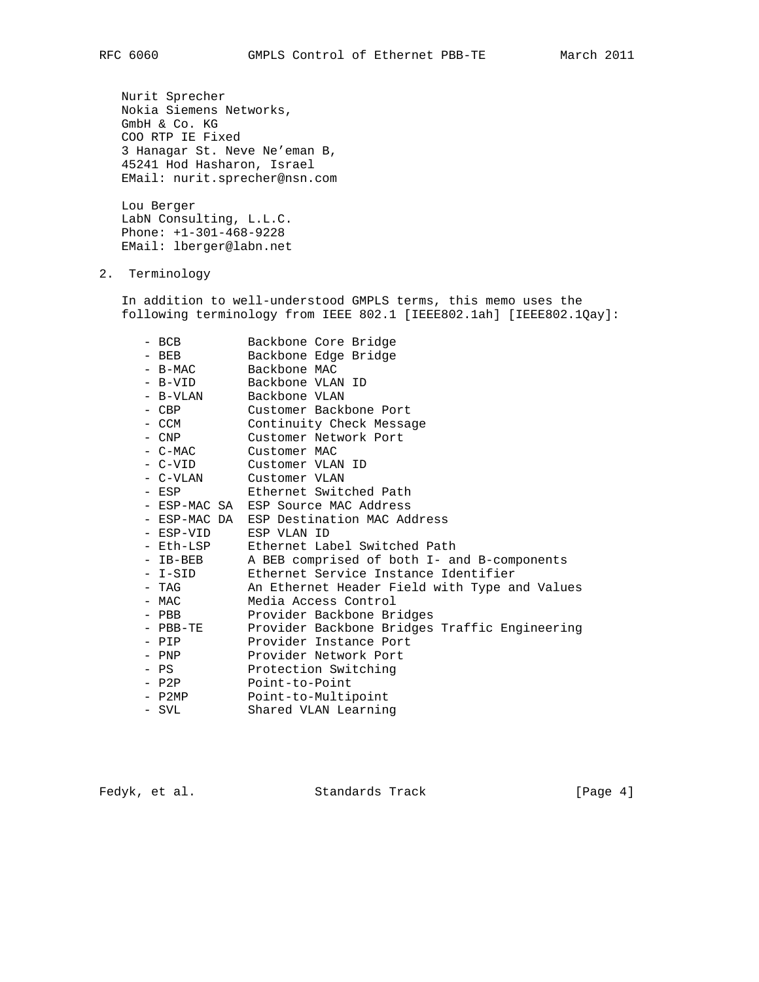Nurit Sprecher Nokia Siemens Networks, GmbH & Co. KG COO RTP IE Fixed 3 Hanagar St. Neve Ne'eman B, 45241 Hod Hasharon, Israel EMail: nurit.sprecher@nsn.com

 Lou Berger LabN Consulting, L.L.C. Phone: +1-301-468-9228 EMail: lberger@labn.net

2. Terminology

 In addition to well-understood GMPLS terms, this memo uses the following terminology from IEEE 802.1 [IEEE802.1ah] [IEEE802.1Qay]:

| - BCB      | Backbone Core Bridge                          |
|------------|-----------------------------------------------|
| $-$ BEB    | Backbone Edge Bridge                          |
| - B-MAC    | Backbone MAC                                  |
| - B-VID    | Backbone VLAN ID                              |
| - B-VLAN   | Backbone VLAN                                 |
| - CBP      | Customer Backbone Port                        |
| – CCM      | Continuity Check Message                      |
| - CNP      | Customer Network Port                         |
| - C-MAC    | Customer MAC                                  |
| - C-VID    | Customer VLAN ID                              |
| - C-VLAN   | Customer VLAN                                 |
| $-$ ESP    | Ethernet Switched Path                        |
|            | - ESP-MAC SA ESP Source MAC Address           |
|            | - ESP-MAC DA ESP Destination MAC Address      |
| - ESP-VID  | ESP VLAN ID                                   |
| - Eth-LSP  | Ethernet Label Switched Path                  |
| $-$ IB-BEB | A BEB comprised of both I- and B-components   |
| - I-SID    | Ethernet Service Instance Identifier          |
| - TAG      | An Ethernet Header Field with Type and Values |
| – MAC      | Media Access Control                          |
| $-$ PBB    | Provider Backbone Bridges                     |
| - PBB-TE   | Provider Backbone Bridges Traffic Engineering |
| $-$ PIP    | Provider Instance Port                        |
| – PNP      | Provider Network Port                         |
| - PS       | Protection Switching                          |
| - P2P      | Point-to-Point                                |
| - P2MP     | Point-to-Multipoint                           |
| - SVL      | Shared VLAN Learning                          |
|            |                                               |

Fedyk, et al. Standards Track [Page 4]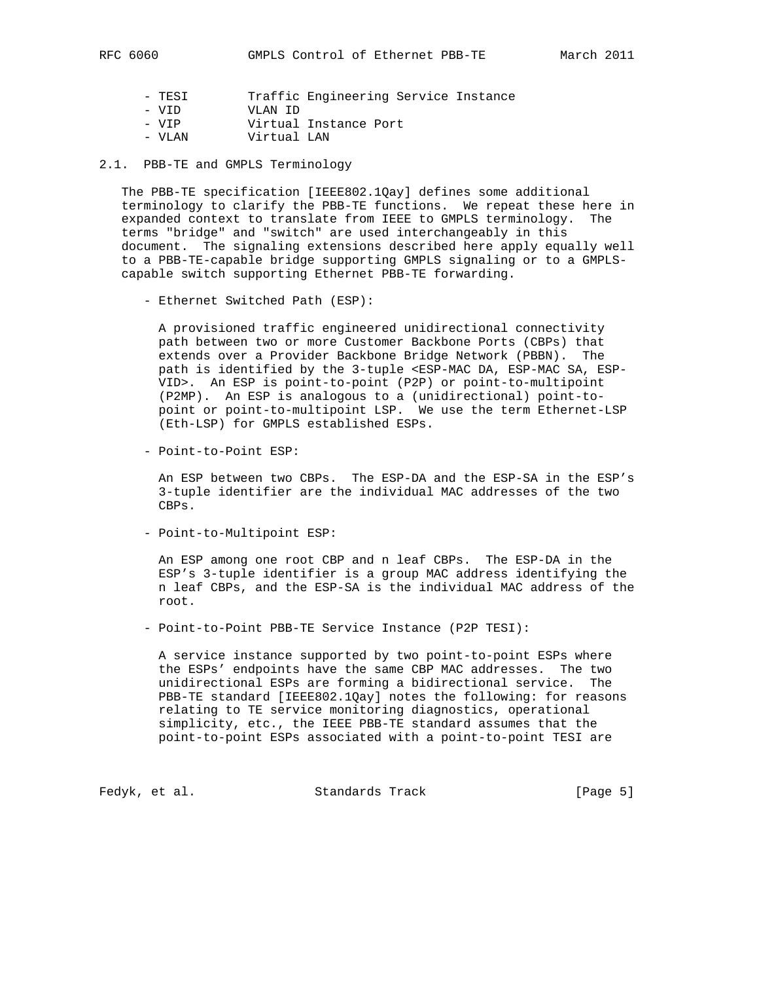- TESI Traffic Engineering Service Instance
- VID VLAN ID
- VIP Virtual Instance Port
- VLAN Virtual LAN

2.1. PBB-TE and GMPLS Terminology

 The PBB-TE specification [IEEE802.1Qay] defines some additional terminology to clarify the PBB-TE functions. We repeat these here in expanded context to translate from IEEE to GMPLS terminology. The terms "bridge" and "switch" are used interchangeably in this document. The signaling extensions described here apply equally well to a PBB-TE-capable bridge supporting GMPLS signaling or to a GMPLS capable switch supporting Ethernet PBB-TE forwarding.

- Ethernet Switched Path (ESP):

 A provisioned traffic engineered unidirectional connectivity path between two or more Customer Backbone Ports (CBPs) that extends over a Provider Backbone Bridge Network (PBBN). The path is identified by the 3-tuple <ESP-MAC DA, ESP-MAC SA, ESP- VID>. An ESP is point-to-point (P2P) or point-to-multipoint (P2MP). An ESP is analogous to a (unidirectional) point-to point or point-to-multipoint LSP. We use the term Ethernet-LSP (Eth-LSP) for GMPLS established ESPs.

- Point-to-Point ESP:

 An ESP between two CBPs. The ESP-DA and the ESP-SA in the ESP's 3-tuple identifier are the individual MAC addresses of the two CBPs.

- Point-to-Multipoint ESP:

 An ESP among one root CBP and n leaf CBPs. The ESP-DA in the ESP's 3-tuple identifier is a group MAC address identifying the n leaf CBPs, and the ESP-SA is the individual MAC address of the root.

- Point-to-Point PBB-TE Service Instance (P2P TESI):

 A service instance supported by two point-to-point ESPs where the ESPs' endpoints have the same CBP MAC addresses. The two unidirectional ESPs are forming a bidirectional service. The PBB-TE standard [IEEE802.1Qay] notes the following: for reasons relating to TE service monitoring diagnostics, operational simplicity, etc., the IEEE PBB-TE standard assumes that the point-to-point ESPs associated with a point-to-point TESI are

Fedyk, et al. Standards Track [Page 5]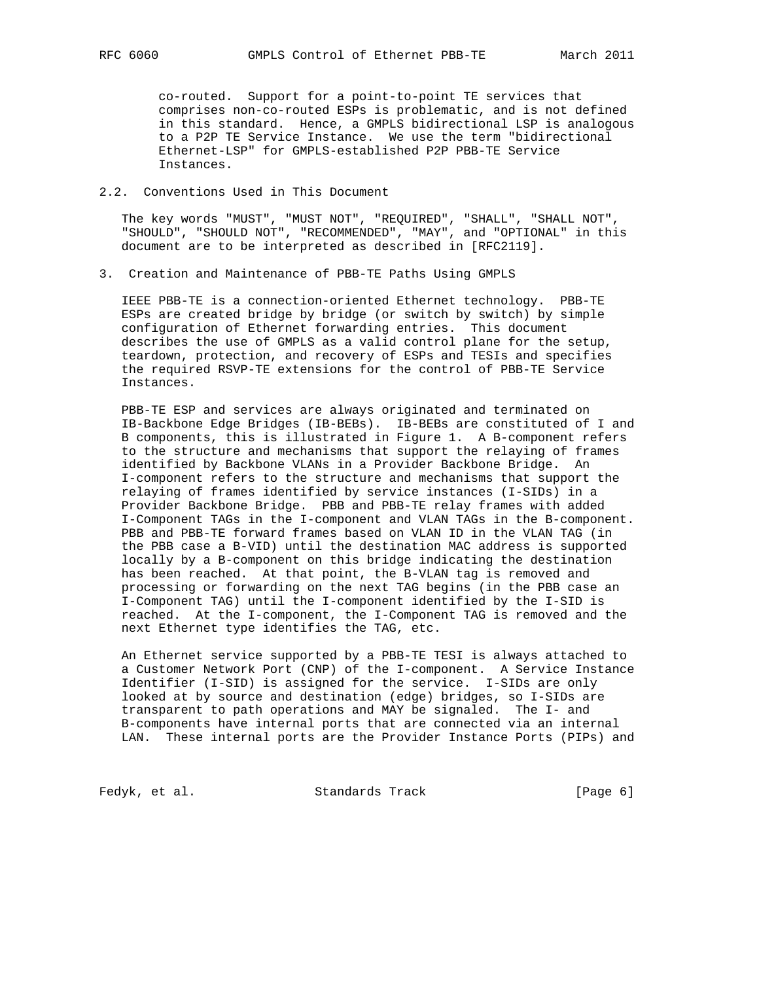co-routed. Support for a point-to-point TE services that comprises non-co-routed ESPs is problematic, and is not defined in this standard. Hence, a GMPLS bidirectional LSP is analogous to a P2P TE Service Instance. We use the term "bidirectional Ethernet-LSP" for GMPLS-established P2P PBB-TE Service Instances.

### 2.2. Conventions Used in This Document

 The key words "MUST", "MUST NOT", "REQUIRED", "SHALL", "SHALL NOT", "SHOULD", "SHOULD NOT", "RECOMMENDED", "MAY", and "OPTIONAL" in this document are to be interpreted as described in [RFC2119].

3. Creation and Maintenance of PBB-TE Paths Using GMPLS

 IEEE PBB-TE is a connection-oriented Ethernet technology. PBB-TE ESPs are created bridge by bridge (or switch by switch) by simple configuration of Ethernet forwarding entries. This document describes the use of GMPLS as a valid control plane for the setup, teardown, protection, and recovery of ESPs and TESIs and specifies the required RSVP-TE extensions for the control of PBB-TE Service Instances.

 PBB-TE ESP and services are always originated and terminated on IB-Backbone Edge Bridges (IB-BEBs). IB-BEBs are constituted of I and B components, this is illustrated in Figure 1. A B-component refers to the structure and mechanisms that support the relaying of frames identified by Backbone VLANs in a Provider Backbone Bridge. An I-component refers to the structure and mechanisms that support the relaying of frames identified by service instances (I-SIDs) in a Provider Backbone Bridge. PBB and PBB-TE relay frames with added I-Component TAGs in the I-component and VLAN TAGs in the B-component. PBB and PBB-TE forward frames based on VLAN ID in the VLAN TAG (in the PBB case a B-VID) until the destination MAC address is supported locally by a B-component on this bridge indicating the destination has been reached. At that point, the B-VLAN tag is removed and processing or forwarding on the next TAG begins (in the PBB case an I-Component TAG) until the I-component identified by the I-SID is reached. At the I-component, the I-Component TAG is removed and the next Ethernet type identifies the TAG, etc.

 An Ethernet service supported by a PBB-TE TESI is always attached to a Customer Network Port (CNP) of the I-component. A Service Instance Identifier (I-SID) is assigned for the service. I-SIDs are only looked at by source and destination (edge) bridges, so I-SIDs are transparent to path operations and MAY be signaled. The I- and B-components have internal ports that are connected via an internal LAN. These internal ports are the Provider Instance Ports (PIPs) and

Fedyk, et al. Standards Track [Page 6]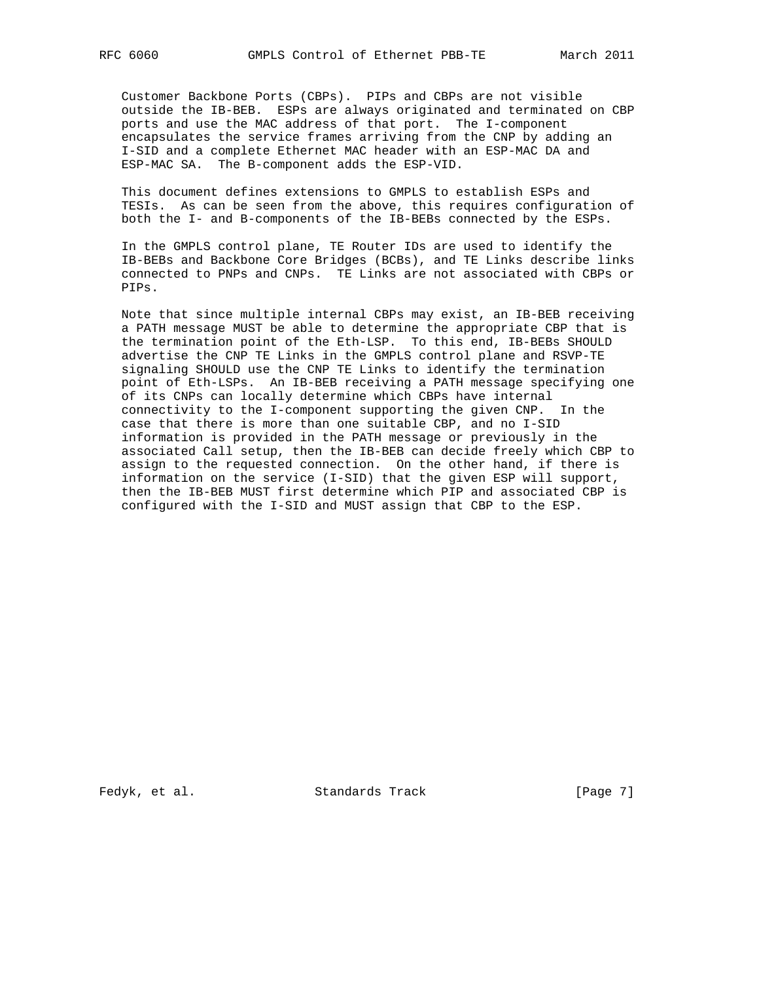Customer Backbone Ports (CBPs). PIPs and CBPs are not visible outside the IB-BEB. ESPs are always originated and terminated on CBP ports and use the MAC address of that port. The I-component encapsulates the service frames arriving from the CNP by adding an I-SID and a complete Ethernet MAC header with an ESP-MAC DA and ESP-MAC SA. The B-component adds the ESP-VID.

 This document defines extensions to GMPLS to establish ESPs and TESIs. As can be seen from the above, this requires configuration of both the I- and B-components of the IB-BEBs connected by the ESPs.

 In the GMPLS control plane, TE Router IDs are used to identify the IB-BEBs and Backbone Core Bridges (BCBs), and TE Links describe links connected to PNPs and CNPs. TE Links are not associated with CBPs or PIPs.

 Note that since multiple internal CBPs may exist, an IB-BEB receiving a PATH message MUST be able to determine the appropriate CBP that is the termination point of the Eth-LSP. To this end, IB-BEBs SHOULD advertise the CNP TE Links in the GMPLS control plane and RSVP-TE signaling SHOULD use the CNP TE Links to identify the termination point of Eth-LSPs. An IB-BEB receiving a PATH message specifying one of its CNPs can locally determine which CBPs have internal connectivity to the I-component supporting the given CNP. In the case that there is more than one suitable CBP, and no I-SID information is provided in the PATH message or previously in the associated Call setup, then the IB-BEB can decide freely which CBP to assign to the requested connection. On the other hand, if there is information on the service (I-SID) that the given ESP will support, then the IB-BEB MUST first determine which PIP and associated CBP is configured with the I-SID and MUST assign that CBP to the ESP.

Fedyk, et al. Standards Track [Page 7]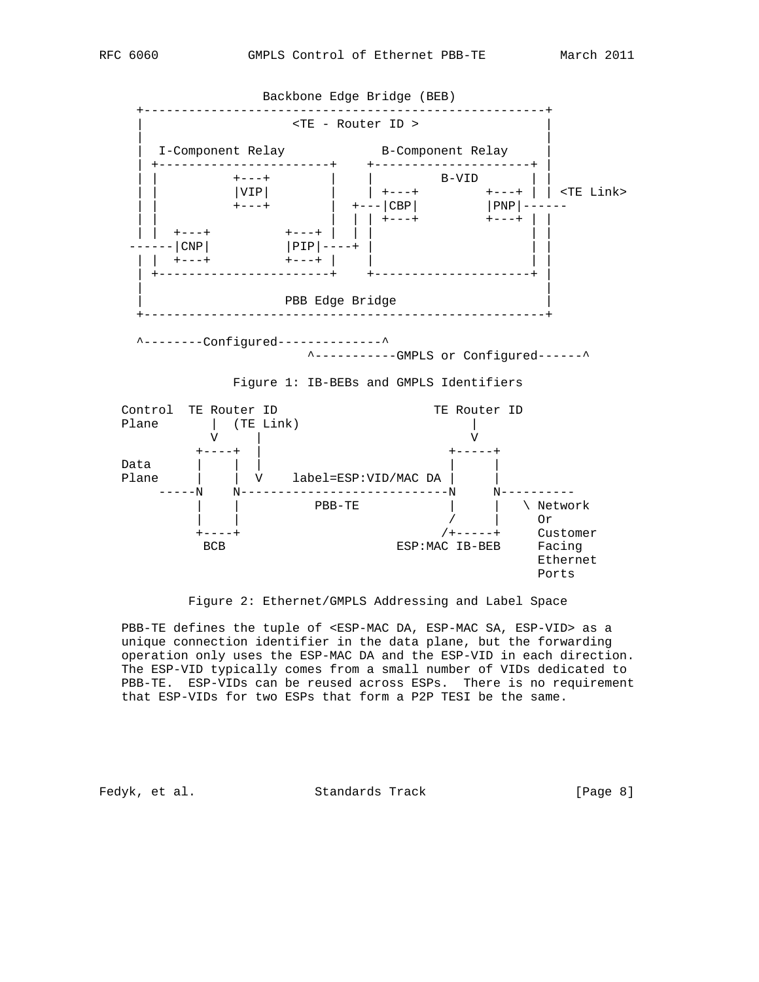

Figure 2: Ethernet/GMPLS Addressing and Label Space

 PBB-TE defines the tuple of <ESP-MAC DA, ESP-MAC SA, ESP-VID> as a unique connection identifier in the data plane, but the forwarding operation only uses the ESP-MAC DA and the ESP-VID in each direction. The ESP-VID typically comes from a small number of VIDs dedicated to PBB-TE. ESP-VIDs can be reused across ESPs. There is no requirement that ESP-VIDs for two ESPs that form a P2P TESI be the same.

Fedyk, et al. Standards Track [Page 8]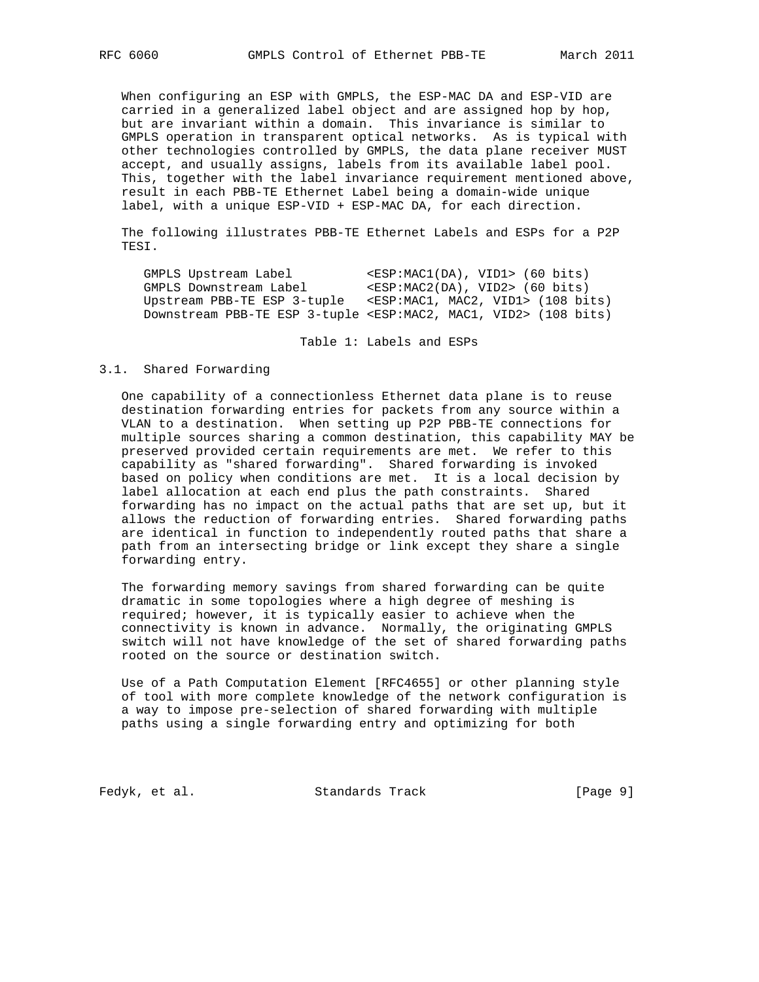When configuring an ESP with GMPLS, the ESP-MAC DA and ESP-VID are carried in a generalized label object and are assigned hop by hop, but are invariant within a domain. This invariance is similar to GMPLS operation in transparent optical networks. As is typical with other technologies controlled by GMPLS, the data plane receiver MUST accept, and usually assigns, labels from its available label pool. This, together with the label invariance requirement mentioned above, result in each PBB-TE Ethernet Label being a domain-wide unique label, with a unique ESP-VID + ESP-MAC DA, for each direction.

 The following illustrates PBB-TE Ethernet Labels and ESPs for a P2P TESI.

GMPLS Upstream Label <ESP:MAC1(DA), VID1> (60 bits) GMPLS Downstream Label <ESP:MAC2(DA), VID2> (60 bits) Upstream PBB-TE ESP 3-tuple <ESP:MAC1, MAC2, VID1> (108 bits) Downstream PBB-TE ESP 3-tuple <ESP:MAC2, MAC1, VID2> (108 bits)

Table 1: Labels and ESPs

### 3.1. Shared Forwarding

 One capability of a connectionless Ethernet data plane is to reuse destination forwarding entries for packets from any source within a VLAN to a destination. When setting up P2P PBB-TE connections for multiple sources sharing a common destination, this capability MAY be preserved provided certain requirements are met. We refer to this capability as "shared forwarding". Shared forwarding is invoked based on policy when conditions are met. It is a local decision by label allocation at each end plus the path constraints. Shared forwarding has no impact on the actual paths that are set up, but it allows the reduction of forwarding entries. Shared forwarding paths are identical in function to independently routed paths that share a path from an intersecting bridge or link except they share a single forwarding entry.

 The forwarding memory savings from shared forwarding can be quite dramatic in some topologies where a high degree of meshing is required; however, it is typically easier to achieve when the connectivity is known in advance. Normally, the originating GMPLS switch will not have knowledge of the set of shared forwarding paths rooted on the source or destination switch.

 Use of a Path Computation Element [RFC4655] or other planning style of tool with more complete knowledge of the network configuration is a way to impose pre-selection of shared forwarding with multiple paths using a single forwarding entry and optimizing for both

Fedyk, et al. Standards Track [Page 9]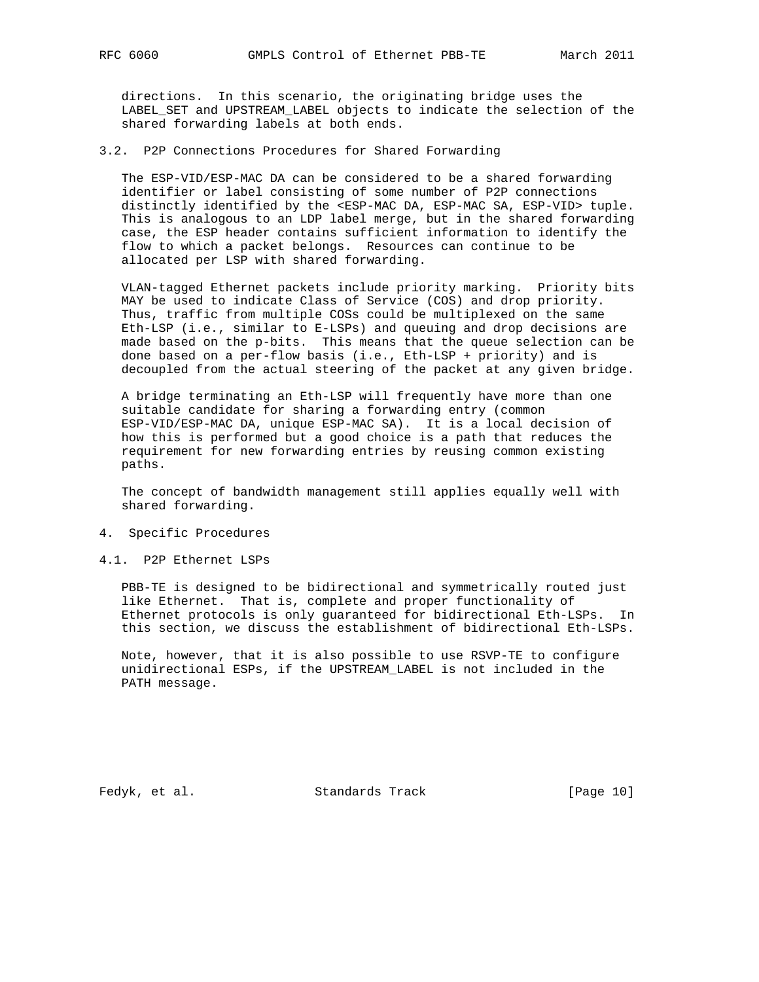directions. In this scenario, the originating bridge uses the LABEL\_SET and UPSTREAM\_LABEL objects to indicate the selection of the shared forwarding labels at both ends.

3.2. P2P Connections Procedures for Shared Forwarding

 The ESP-VID/ESP-MAC DA can be considered to be a shared forwarding identifier or label consisting of some number of P2P connections distinctly identified by the <ESP-MAC DA, ESP-MAC SA, ESP-VID> tuple. This is analogous to an LDP label merge, but in the shared forwarding case, the ESP header contains sufficient information to identify the flow to which a packet belongs. Resources can continue to be allocated per LSP with shared forwarding.

 VLAN-tagged Ethernet packets include priority marking. Priority bits MAY be used to indicate Class of Service (COS) and drop priority. Thus, traffic from multiple COSs could be multiplexed on the same Eth-LSP (i.e., similar to E-LSPs) and queuing and drop decisions are made based on the p-bits. This means that the queue selection can be done based on a per-flow basis (i.e., Eth-LSP + priority) and is decoupled from the actual steering of the packet at any given bridge.

 A bridge terminating an Eth-LSP will frequently have more than one suitable candidate for sharing a forwarding entry (common ESP-VID/ESP-MAC DA, unique ESP-MAC SA). It is a local decision of how this is performed but a good choice is a path that reduces the requirement for new forwarding entries by reusing common existing paths.

 The concept of bandwidth management still applies equally well with shared forwarding.

- 4. Specific Procedures
- 4.1. P2P Ethernet LSPs

 PBB-TE is designed to be bidirectional and symmetrically routed just like Ethernet. That is, complete and proper functionality of Ethernet protocols is only guaranteed for bidirectional Eth-LSPs. In this section, we discuss the establishment of bidirectional Eth-LSPs.

 Note, however, that it is also possible to use RSVP-TE to configure unidirectional ESPs, if the UPSTREAM\_LABEL is not included in the PATH message.

Fedyk, et al. Standards Track [Page 10]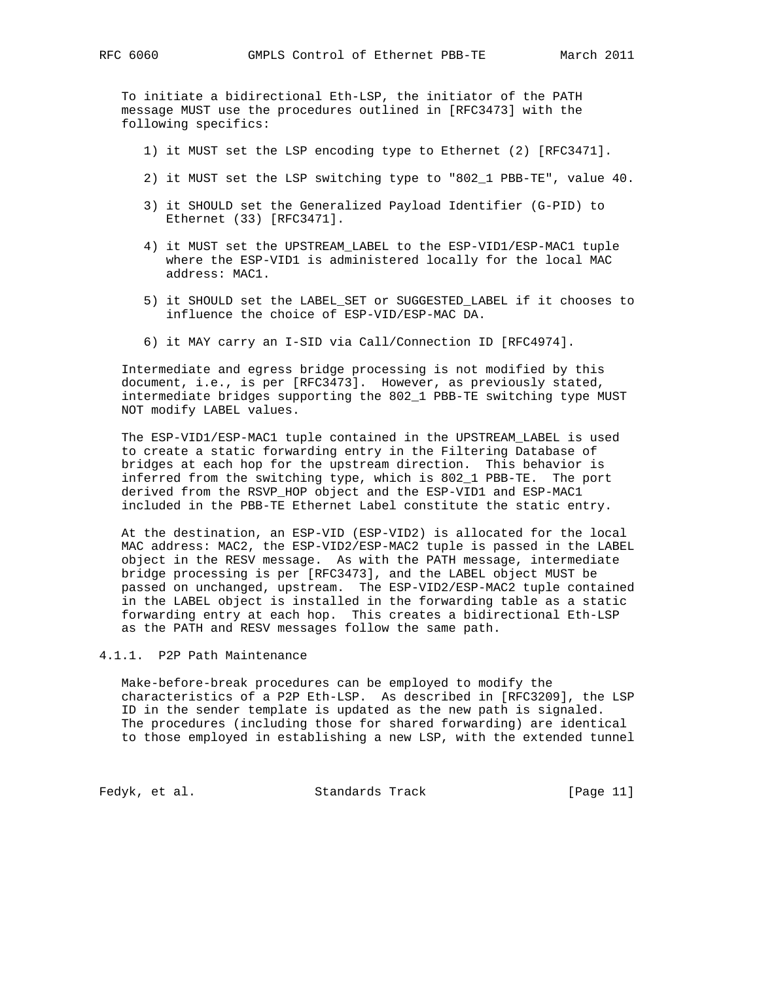To initiate a bidirectional Eth-LSP, the initiator of the PATH message MUST use the procedures outlined in [RFC3473] with the following specifics:

- 1) it MUST set the LSP encoding type to Ethernet (2) [RFC3471].
- 2) it MUST set the LSP switching type to "802\_1 PBB-TE", value 40.
- 3) it SHOULD set the Generalized Payload Identifier (G-PID) to Ethernet (33) [RFC3471].
- 4) it MUST set the UPSTREAM\_LABEL to the ESP-VID1/ESP-MAC1 tuple where the ESP-VID1 is administered locally for the local MAC address: MAC1.
- 5) it SHOULD set the LABEL\_SET or SUGGESTED\_LABEL if it chooses to influence the choice of ESP-VID/ESP-MAC DA.
- 6) it MAY carry an I-SID via Call/Connection ID [RFC4974].

 Intermediate and egress bridge processing is not modified by this document, i.e., is per [RFC3473]. However, as previously stated, intermediate bridges supporting the 802\_1 PBB-TE switching type MUST NOT modify LABEL values.

 The ESP-VID1/ESP-MAC1 tuple contained in the UPSTREAM\_LABEL is used to create a static forwarding entry in the Filtering Database of bridges at each hop for the upstream direction. This behavior is inferred from the switching type, which is 802\_1 PBB-TE. The port derived from the RSVP\_HOP object and the ESP-VID1 and ESP-MAC1 included in the PBB-TE Ethernet Label constitute the static entry.

 At the destination, an ESP-VID (ESP-VID2) is allocated for the local MAC address: MAC2, the ESP-VID2/ESP-MAC2 tuple is passed in the LABEL object in the RESV message. As with the PATH message, intermediate bridge processing is per [RFC3473], and the LABEL object MUST be passed on unchanged, upstream. The ESP-VID2/ESP-MAC2 tuple contained in the LABEL object is installed in the forwarding table as a static forwarding entry at each hop. This creates a bidirectional Eth-LSP as the PATH and RESV messages follow the same path.

# 4.1.1. P2P Path Maintenance

 Make-before-break procedures can be employed to modify the characteristics of a P2P Eth-LSP. As described in [RFC3209], the LSP ID in the sender template is updated as the new path is signaled. The procedures (including those for shared forwarding) are identical to those employed in establishing a new LSP, with the extended tunnel

Fedyk, et al. Standards Track [Page 11]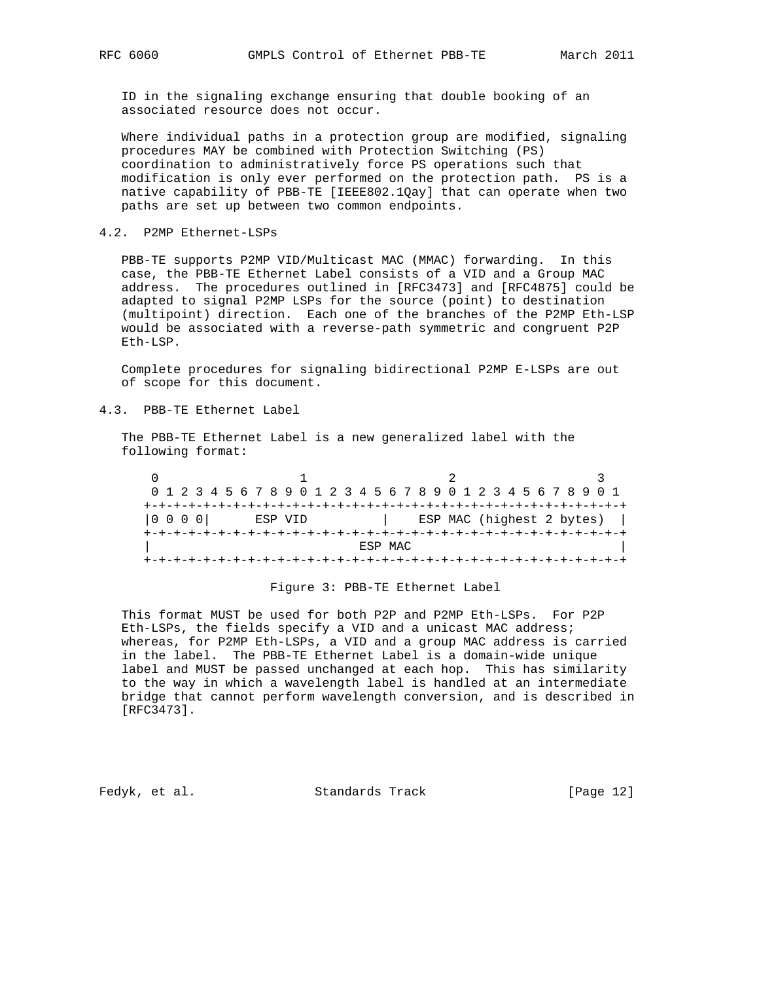ID in the signaling exchange ensuring that double booking of an associated resource does not occur.

 Where individual paths in a protection group are modified, signaling procedures MAY be combined with Protection Switching (PS) coordination to administratively force PS operations such that modification is only ever performed on the protection path. PS is a native capability of PBB-TE [IEEE802.1Qay] that can operate when two paths are set up between two common endpoints.

### 4.2. P2MP Ethernet-LSPs

 PBB-TE supports P2MP VID/Multicast MAC (MMAC) forwarding. In this case, the PBB-TE Ethernet Label consists of a VID and a Group MAC address. The procedures outlined in [RFC3473] and [RFC4875] could be adapted to signal P2MP LSPs for the source (point) to destination (multipoint) direction. Each one of the branches of the P2MP Eth-LSP would be associated with a reverse-path symmetric and congruent P2P Eth-LSP.

 Complete procedures for signaling bidirectional P2MP E-LSPs are out of scope for this document.

### 4.3. PBB-TE Ethernet Label

 The PBB-TE Ethernet Label is a new generalized label with the following format:

 $0$  1 2 3 0 1 2 3 4 5 6 7 8 9 0 1 2 3 4 5 6 7 8 9 0 1 2 3 4 5 6 7 8 9 0 1 +-+-+-+-+-+-+-+-+-+-+-+-+-+-+-+-+-+-+-+-+-+-+-+-+-+-+-+-+-+-+-+-+ |0 0 0 0| ESP VID | ESP MAC (highest 2 bytes) | +-+-+-+-+-+-+-+-+-+-+-+-+-+-+-+-+-+-+-+-+-+-+-+-+-+-+-+-+-+-+-+-+ ESP MAC +-+-+-+-+-+-+-+-+-+-+-+-+-+-+-+-+-+-+-+-+-+-+-+-+-+-+-+-+-+-+-+-+

### Figure 3: PBB-TE Ethernet Label

 This format MUST be used for both P2P and P2MP Eth-LSPs. For P2P Eth-LSPs, the fields specify a VID and a unicast MAC address; whereas, for P2MP Eth-LSPs, a VID and a group MAC address is carried in the label. The PBB-TE Ethernet Label is a domain-wide unique label and MUST be passed unchanged at each hop. This has similarity to the way in which a wavelength label is handled at an intermediate bridge that cannot perform wavelength conversion, and is described in [RFC3473].

Fedyk, et al. Standards Track [Page 12]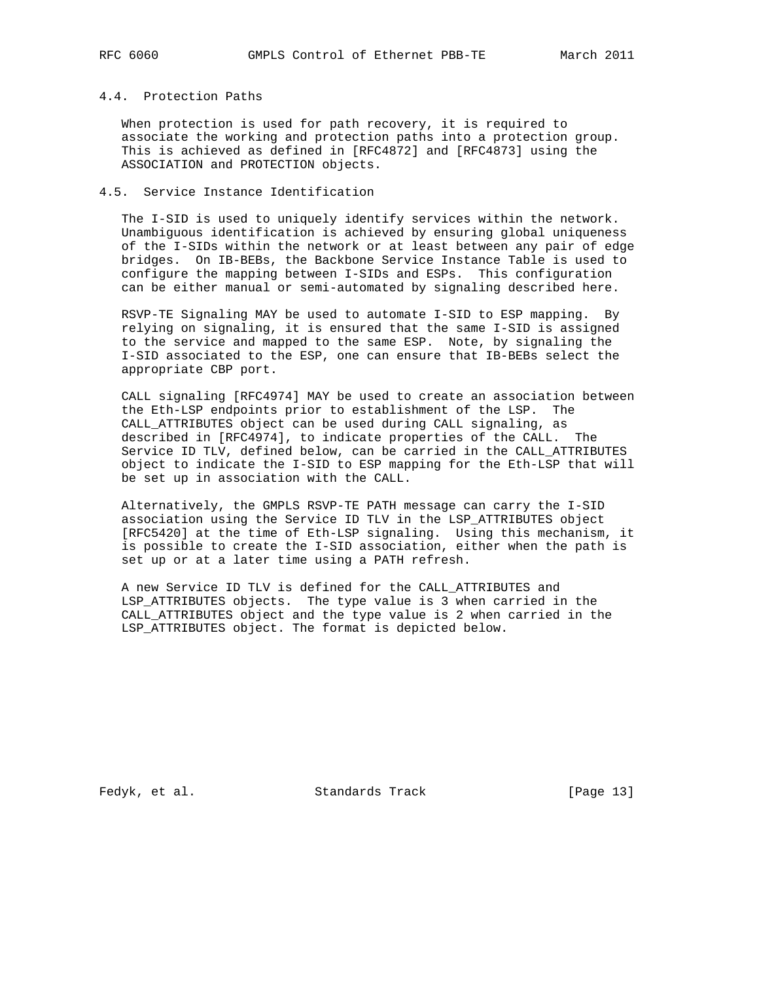# 4.4. Protection Paths

 When protection is used for path recovery, it is required to associate the working and protection paths into a protection group. This is achieved as defined in [RFC4872] and [RFC4873] using the ASSOCIATION and PROTECTION objects.

### 4.5. Service Instance Identification

 The I-SID is used to uniquely identify services within the network. Unambiguous identification is achieved by ensuring global uniqueness of the I-SIDs within the network or at least between any pair of edge bridges. On IB-BEBs, the Backbone Service Instance Table is used to configure the mapping between I-SIDs and ESPs. This configuration can be either manual or semi-automated by signaling described here.

 RSVP-TE Signaling MAY be used to automate I-SID to ESP mapping. By relying on signaling, it is ensured that the same I-SID is assigned to the service and mapped to the same ESP. Note, by signaling the I-SID associated to the ESP, one can ensure that IB-BEBs select the appropriate CBP port.

 CALL signaling [RFC4974] MAY be used to create an association between the Eth-LSP endpoints prior to establishment of the LSP. The CALL\_ATTRIBUTES object can be used during CALL signaling, as described in [RFC4974], to indicate properties of the CALL. The Service ID TLV, defined below, can be carried in the CALL\_ATTRIBUTES object to indicate the I-SID to ESP mapping for the Eth-LSP that will be set up in association with the CALL.

 Alternatively, the GMPLS RSVP-TE PATH message can carry the I-SID association using the Service ID TLV in the LSP\_ATTRIBUTES object [RFC5420] at the time of Eth-LSP signaling. Using this mechanism, it is possible to create the I-SID association, either when the path is set up or at a later time using a PATH refresh.

 A new Service ID TLV is defined for the CALL\_ATTRIBUTES and LSP\_ATTRIBUTES objects. The type value is 3 when carried in the CALL\_ATTRIBUTES object and the type value is 2 when carried in the LSP\_ATTRIBUTES object. The format is depicted below.

Fedyk, et al. Standards Track [Page 13]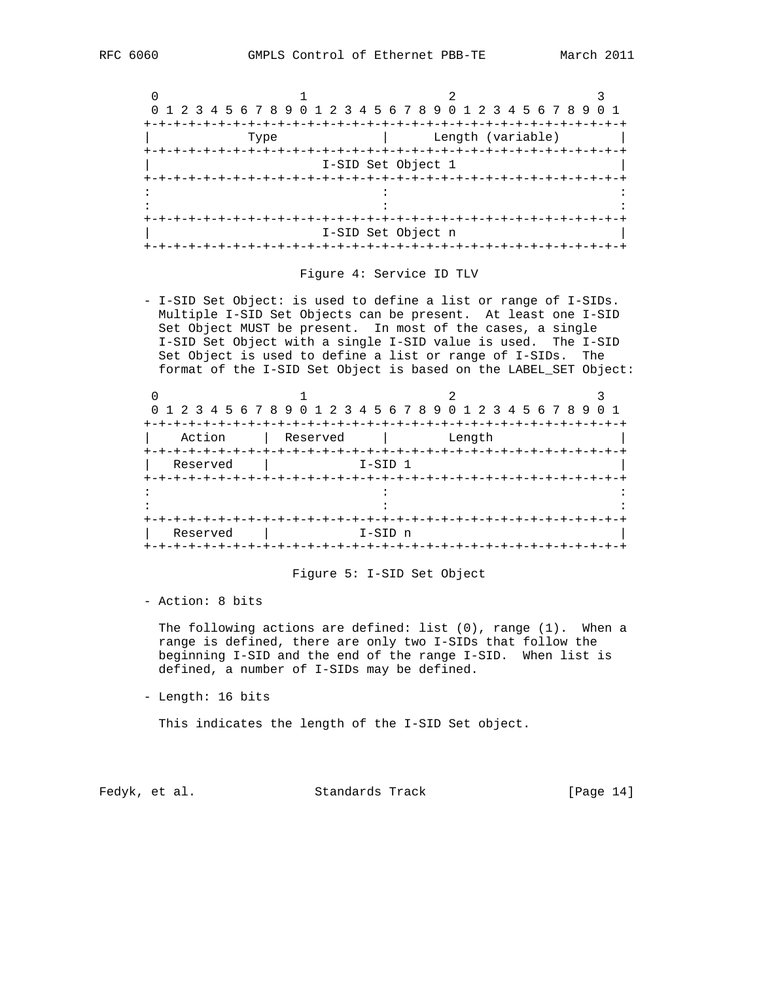|      |                    | 0 1 2 3 4 5 6 7 8 9 0 1 2 3 4 5 6 7 8 9 0 1 2 3 4 5 6 7 8 9 |  |
|------|--------------------|-------------------------------------------------------------|--|
|      |                    |                                                             |  |
| Type |                    | Length (variable)                                           |  |
|      |                    |                                                             |  |
|      | I-SID Set Object 1 |                                                             |  |
|      |                    |                                                             |  |
|      |                    |                                                             |  |
|      |                    |                                                             |  |
|      |                    |                                                             |  |
|      | I-SID Set Object n |                                                             |  |
|      |                    |                                                             |  |

### Figure 4: Service ID TLV

 - I-SID Set Object: is used to define a list or range of I-SIDs. Multiple I-SID Set Objects can be present. At least one I-SID Set Object MUST be present. In most of the cases, a single I-SID Set Object with a single I-SID value is used. The I-SID Set Object is used to define a list or range of I-SIDs. The format of the I-SID Set Object is based on the LABEL\_SET Object:

|                     | 0 1 2 3 4 5 6 7 8 9 0 1 2 3 4 5 6 7 8 9 0 1 2 3 4 5 6 7 8 9 |           | 0 1 |  |  |
|---------------------|-------------------------------------------------------------|-----------|-----|--|--|
|                     |                                                             |           |     |  |  |
| Action              | Reserved                                                    | Length    |     |  |  |
| $+ - + - + - + - +$ |                                                             |           |     |  |  |
| Reserved            |                                                             | I-SID 1   |     |  |  |
|                     |                                                             |           |     |  |  |
|                     |                                                             |           |     |  |  |
|                     |                                                             |           |     |  |  |
|                     |                                                             |           |     |  |  |
| Reserved            |                                                             | $I-SID$ n |     |  |  |
|                     |                                                             |           |     |  |  |

### Figure 5: I-SID Set Object

- Action: 8 bits

 The following actions are defined: list (0), range (1). When a range is defined, there are only two I-SIDs that follow the beginning I-SID and the end of the range I-SID. When list is defined, a number of I-SIDs may be defined.

- Length: 16 bits

This indicates the length of the I-SID Set object.

Fedyk, et al. Standards Track [Page 14]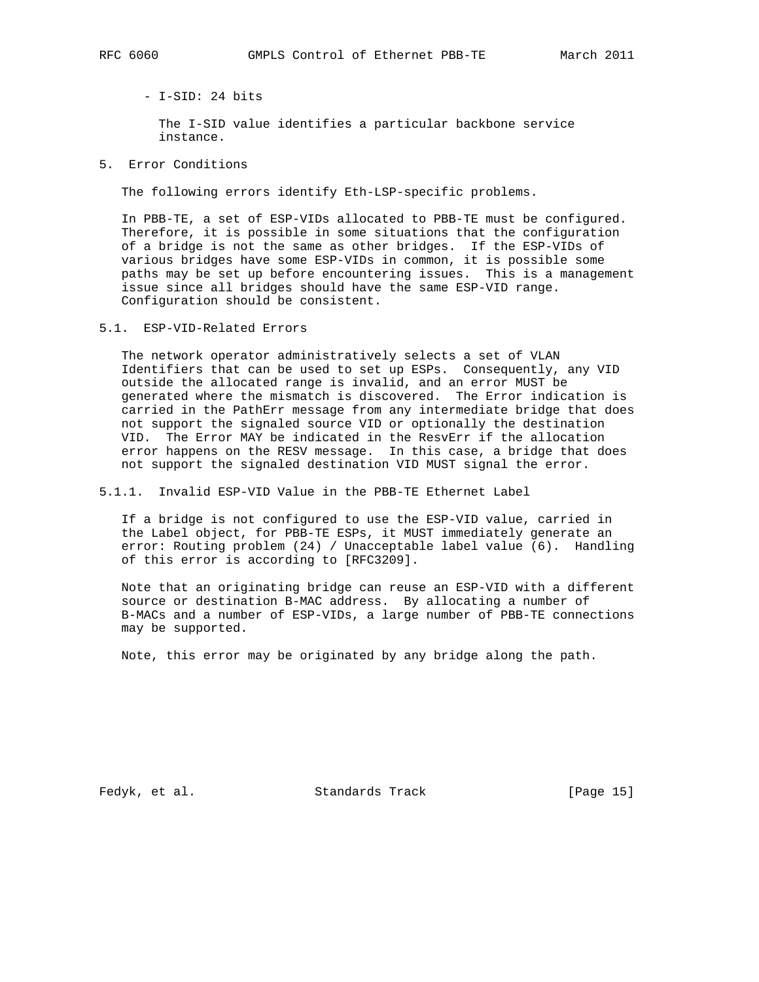- I-SID: 24 bits

 The I-SID value identifies a particular backbone service instance.

5. Error Conditions

The following errors identify Eth-LSP-specific problems.

 In PBB-TE, a set of ESP-VIDs allocated to PBB-TE must be configured. Therefore, it is possible in some situations that the configuration of a bridge is not the same as other bridges. If the ESP-VIDs of various bridges have some ESP-VIDs in common, it is possible some paths may be set up before encountering issues. This is a management issue since all bridges should have the same ESP-VID range. Configuration should be consistent.

5.1. ESP-VID-Related Errors

 The network operator administratively selects a set of VLAN Identifiers that can be used to set up ESPs. Consequently, any VID outside the allocated range is invalid, and an error MUST be generated where the mismatch is discovered. The Error indication is carried in the PathErr message from any intermediate bridge that does not support the signaled source VID or optionally the destination VID. The Error MAY be indicated in the ResvErr if the allocation error happens on the RESV message. In this case, a bridge that does not support the signaled destination VID MUST signal the error.

5.1.1. Invalid ESP-VID Value in the PBB-TE Ethernet Label

 If a bridge is not configured to use the ESP-VID value, carried in the Label object, for PBB-TE ESPs, it MUST immediately generate an error: Routing problem (24) / Unacceptable label value (6). Handling of this error is according to [RFC3209].

 Note that an originating bridge can reuse an ESP-VID with a different source or destination B-MAC address. By allocating a number of B-MACs and a number of ESP-VIDs, a large number of PBB-TE connections may be supported.

Note, this error may be originated by any bridge along the path.

Fedyk, et al. Standards Track [Page 15]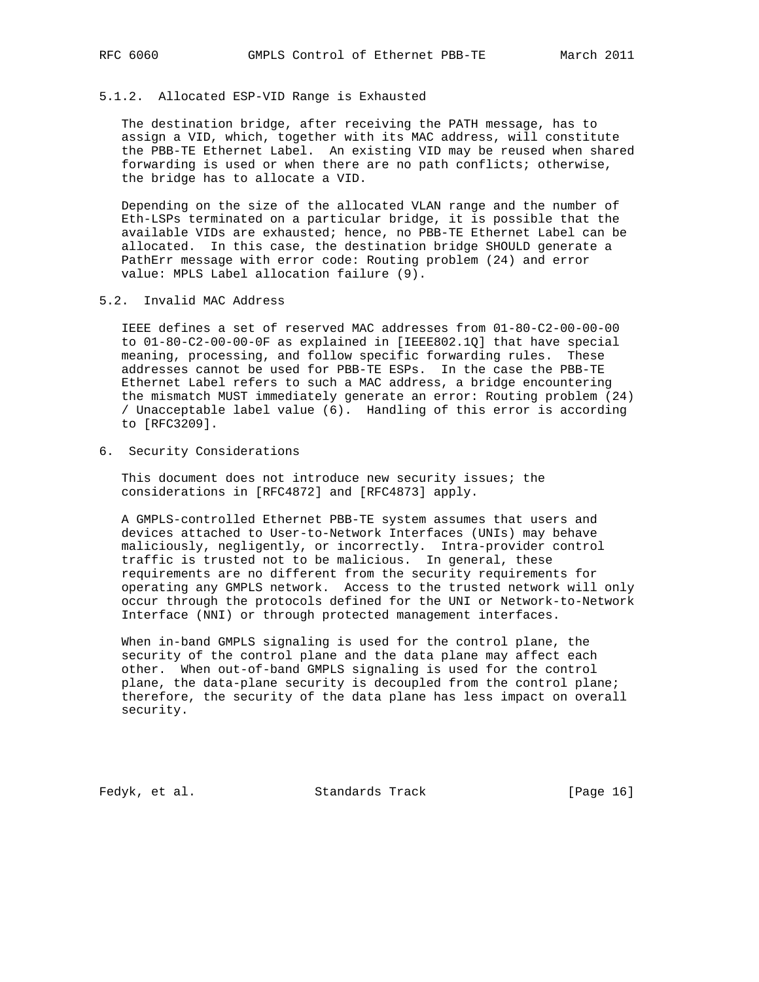### 5.1.2. Allocated ESP-VID Range is Exhausted

 The destination bridge, after receiving the PATH message, has to assign a VID, which, together with its MAC address, will constitute the PBB-TE Ethernet Label. An existing VID may be reused when shared forwarding is used or when there are no path conflicts; otherwise, the bridge has to allocate a VID.

 Depending on the size of the allocated VLAN range and the number of Eth-LSPs terminated on a particular bridge, it is possible that the available VIDs are exhausted; hence, no PBB-TE Ethernet Label can be allocated. In this case, the destination bridge SHOULD generate a PathErr message with error code: Routing problem (24) and error value: MPLS Label allocation failure (9).

### 5.2. Invalid MAC Address

 IEEE defines a set of reserved MAC addresses from 01-80-C2-00-00-00 to 01-80-C2-00-00-0F as explained in [IEEE802.1Q] that have special meaning, processing, and follow specific forwarding rules. These addresses cannot be used for PBB-TE ESPs. In the case the PBB-TE Ethernet Label refers to such a MAC address, a bridge encountering the mismatch MUST immediately generate an error: Routing problem (24) / Unacceptable label value (6). Handling of this error is according to [RFC3209].

6. Security Considerations

 This document does not introduce new security issues; the considerations in [RFC4872] and [RFC4873] apply.

 A GMPLS-controlled Ethernet PBB-TE system assumes that users and devices attached to User-to-Network Interfaces (UNIs) may behave maliciously, negligently, or incorrectly. Intra-provider control traffic is trusted not to be malicious. In general, these requirements are no different from the security requirements for operating any GMPLS network. Access to the trusted network will only occur through the protocols defined for the UNI or Network-to-Network Interface (NNI) or through protected management interfaces.

 When in-band GMPLS signaling is used for the control plane, the security of the control plane and the data plane may affect each other. When out-of-band GMPLS signaling is used for the control plane, the data-plane security is decoupled from the control plane; therefore, the security of the data plane has less impact on overall security.

Fedyk, et al. Standards Track [Page 16]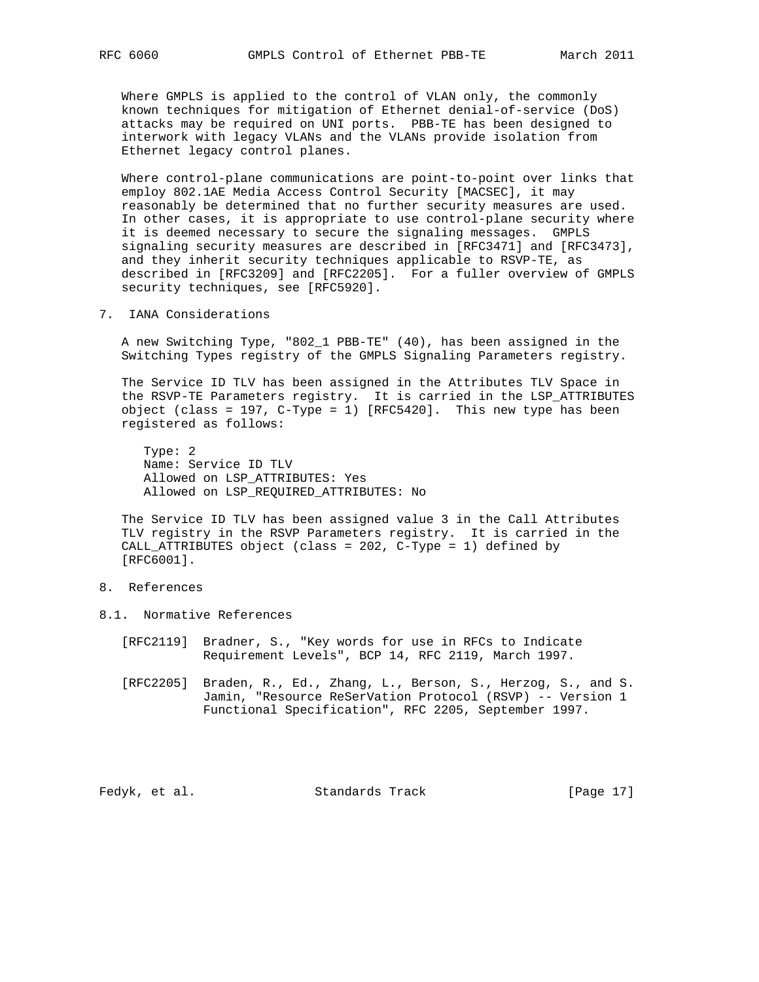Where GMPLS is applied to the control of VLAN only, the commonly known techniques for mitigation of Ethernet denial-of-service (DoS) attacks may be required on UNI ports. PBB-TE has been designed to interwork with legacy VLANs and the VLANs provide isolation from Ethernet legacy control planes.

 Where control-plane communications are point-to-point over links that employ 802.1AE Media Access Control Security [MACSEC], it may reasonably be determined that no further security measures are used. In other cases, it is appropriate to use control-plane security where it is deemed necessary to secure the signaling messages. GMPLS signaling security measures are described in [RFC3471] and [RFC3473], and they inherit security techniques applicable to RSVP-TE, as described in [RFC3209] and [RFC2205]. For a fuller overview of GMPLS security techniques, see [RFC5920].

7. IANA Considerations

 A new Switching Type, "802\_1 PBB-TE" (40), has been assigned in the Switching Types registry of the GMPLS Signaling Parameters registry.

 The Service ID TLV has been assigned in the Attributes TLV Space in the RSVP-TE Parameters registry. It is carried in the LSP\_ATTRIBUTES object (class = 197, C-Type = 1) [RFC5420]. This new type has been registered as follows:

 Type: 2 Name: Service ID TLV Allowed on LSP\_ATTRIBUTES: Yes Allowed on LSP\_REQUIRED\_ATTRIBUTES: No

 The Service ID TLV has been assigned value 3 in the Call Attributes TLV registry in the RSVP Parameters registry. It is carried in the CALL\_ATTRIBUTES object (class = 202, C-Type = 1) defined by [RFC6001].

- 8. References
- 8.1. Normative References
	- [RFC2119] Bradner, S., "Key words for use in RFCs to Indicate Requirement Levels", BCP 14, RFC 2119, March 1997.
	- [RFC2205] Braden, R., Ed., Zhang, L., Berson, S., Herzog, S., and S. Jamin, "Resource ReSerVation Protocol (RSVP) -- Version 1 Functional Specification", RFC 2205, September 1997.

Fedyk, et al. Standards Track [Page 17]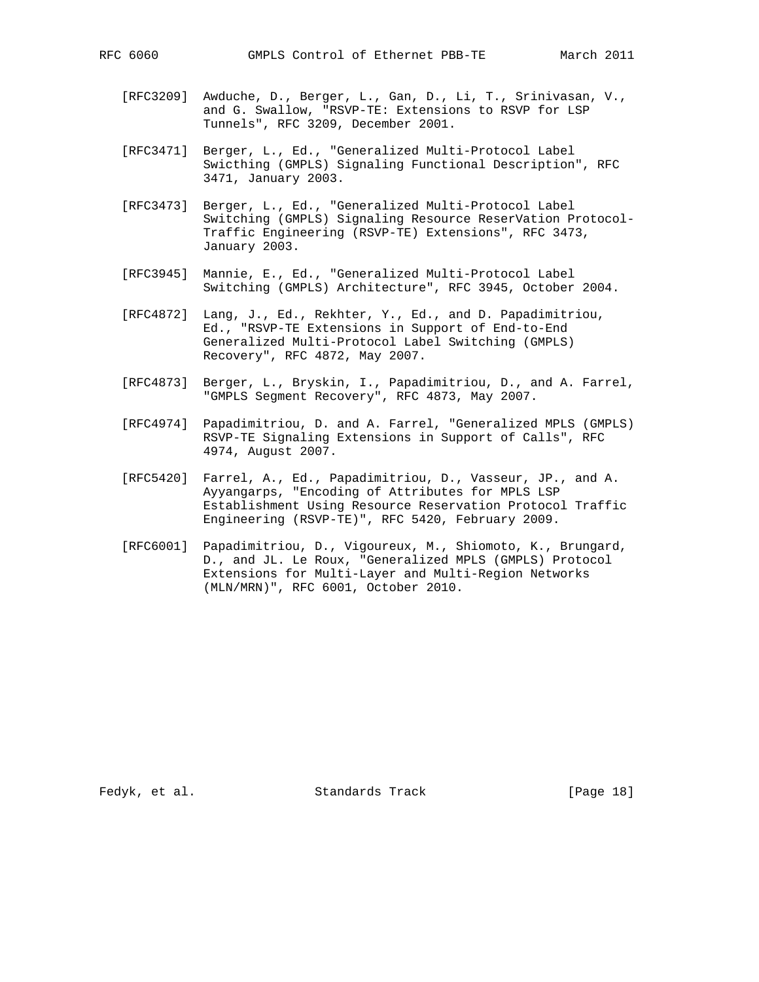- [RFC3209] Awduche, D., Berger, L., Gan, D., Li, T., Srinivasan, V., and G. Swallow, "RSVP-TE: Extensions to RSVP for LSP Tunnels", RFC 3209, December 2001.
- [RFC3471] Berger, L., Ed., "Generalized Multi-Protocol Label Swicthing (GMPLS) Signaling Functional Description", RFC 3471, January 2003.
- [RFC3473] Berger, L., Ed., "Generalized Multi-Protocol Label Switching (GMPLS) Signaling Resource ReserVation Protocol- Traffic Engineering (RSVP-TE) Extensions", RFC 3473, January 2003.
- [RFC3945] Mannie, E., Ed., "Generalized Multi-Protocol Label Switching (GMPLS) Architecture", RFC 3945, October 2004.
- [RFC4872] Lang, J., Ed., Rekhter, Y., Ed., and D. Papadimitriou, Ed., "RSVP-TE Extensions in Support of End-to-End Generalized Multi-Protocol Label Switching (GMPLS) Recovery", RFC 4872, May 2007.
- [RFC4873] Berger, L., Bryskin, I., Papadimitriou, D., and A. Farrel, "GMPLS Segment Recovery", RFC 4873, May 2007.
- [RFC4974] Papadimitriou, D. and A. Farrel, "Generalized MPLS (GMPLS) RSVP-TE Signaling Extensions in Support of Calls", RFC 4974, August 2007.
- [RFC5420] Farrel, A., Ed., Papadimitriou, D., Vasseur, JP., and A. Ayyangarps, "Encoding of Attributes for MPLS LSP Establishment Using Resource Reservation Protocol Traffic Engineering (RSVP-TE)", RFC 5420, February 2009.
- [RFC6001] Papadimitriou, D., Vigoureux, M., Shiomoto, K., Brungard, D., and JL. Le Roux, "Generalized MPLS (GMPLS) Protocol Extensions for Multi-Layer and Multi-Region Networks (MLN/MRN)", RFC 6001, October 2010.

Fedyk, et al. Standards Track [Page 18]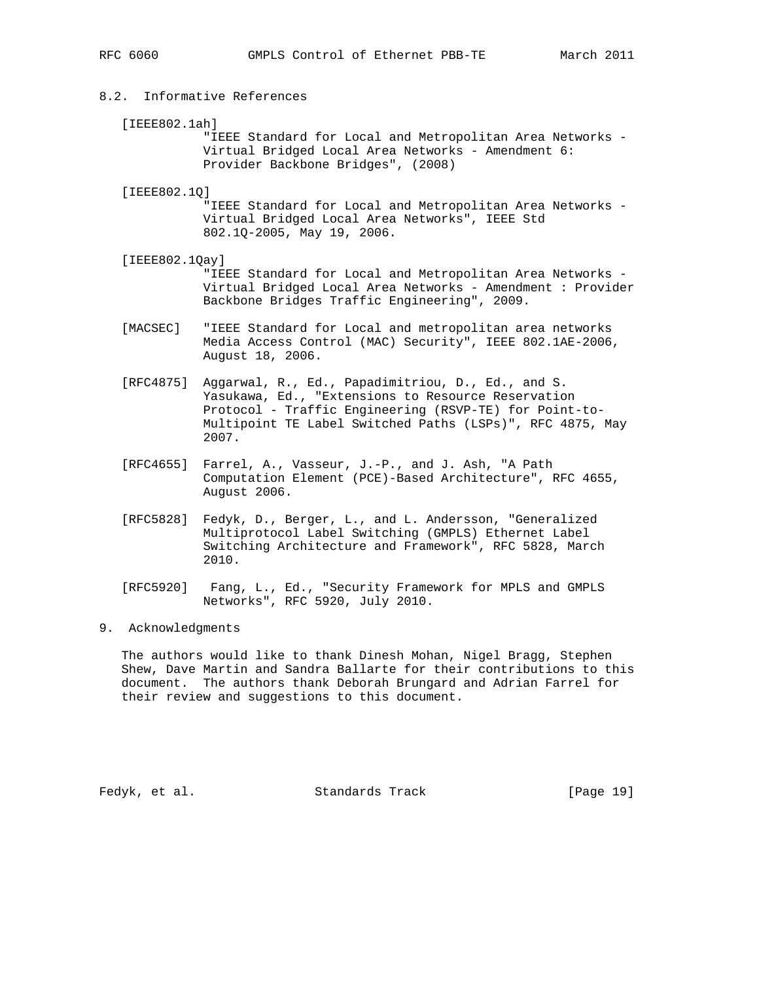# 8.2. Informative References

[IEEE802.1ah]

 "IEEE Standard for Local and Metropolitan Area Networks - Virtual Bridged Local Area Networks - Amendment 6: Provider Backbone Bridges", (2008)

[IEEE802.1Q]

 "IEEE Standard for Local and Metropolitan Area Networks - Virtual Bridged Local Area Networks", IEEE Std 802.1Q-2005, May 19, 2006.

[IEEE802.1Qay]

 "IEEE Standard for Local and Metropolitan Area Networks - Virtual Bridged Local Area Networks - Amendment : Provider Backbone Bridges Traffic Engineering", 2009.

- [MACSEC] "IEEE Standard for Local and metropolitan area networks Media Access Control (MAC) Security", IEEE 802.1AE-2006, August 18, 2006.
- [RFC4875] Aggarwal, R., Ed., Papadimitriou, D., Ed., and S. Yasukawa, Ed., "Extensions to Resource Reservation Protocol - Traffic Engineering (RSVP-TE) for Point-to- Multipoint TE Label Switched Paths (LSPs)", RFC 4875, May 2007.
- [RFC4655] Farrel, A., Vasseur, J.-P., and J. Ash, "A Path Computation Element (PCE)-Based Architecture", RFC 4655, August 2006.
- [RFC5828] Fedyk, D., Berger, L., and L. Andersson, "Generalized Multiprotocol Label Switching (GMPLS) Ethernet Label Switching Architecture and Framework", RFC 5828, March 2010.
- [RFC5920] Fang, L., Ed., "Security Framework for MPLS and GMPLS Networks", RFC 5920, July 2010.

# 9. Acknowledgments

 The authors would like to thank Dinesh Mohan, Nigel Bragg, Stephen Shew, Dave Martin and Sandra Ballarte for their contributions to this document. The authors thank Deborah Brungard and Adrian Farrel for their review and suggestions to this document.

Fedyk, et al. Standards Track [Page 19]